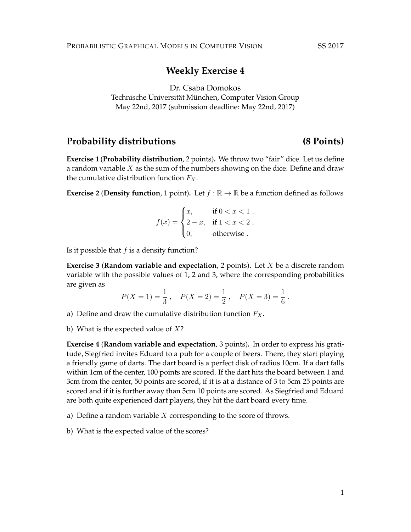## **Weekly Exercise 4**

Dr. Csaba Domokos

Technische Universität München, Computer Vision Group May 22nd, 2017 (submission deadline: May 22nd, 2017)

### Probability distributions (8 Points)

**Exercise 1** (**Probability distribution**, 2 points)**.** We throw two "fair" dice. Let us define a random variable  $X$  as the sum of the numbers showing on the dice. Define and draw the cumulative distribution function  $F_X$ .

**Exercise 2 (Density function,** 1 point). Let  $f : \mathbb{R} \to \mathbb{R}$  be a function defined as follows

$$
f(x) = \begin{cases} x, & \text{if } 0 < x < 1 \\ 2 - x, & \text{if } 1 < x < 2 \\ 0, & \text{otherwise} \end{cases}
$$

Is it possible that  $f$  is a density function?

**Exercise 3** (**Random variable and expectation**, 2 points)**.** Let X be a discrete random variable with the possible values of 1, 2 and 3, where the corresponding probabilities are given as

$$
P(X = 1) = \frac{1}{3}
$$
,  $P(X = 2) = \frac{1}{2}$ ,  $P(X = 3) = \frac{1}{6}$ .

- a) Define and draw the cumulative distribution function  $F_X$ .
- b) What is the expected value of  $X$ ?

**Exercise 4** (**Random variable and expectation**, 3 points)**.** In order to express his gratitude, Siegfried invites Eduard to a pub for a couple of beers. There, they start playing a friendly game of darts. The dart board is a perfect disk of radius 10cm. If a dart falls within 1cm of the center, 100 points are scored. If the dart hits the board between 1 and 3cm from the center, 50 points are scored, if it is at a distance of 3 to 5cm 25 points are scored and if it is further away than 5cm 10 points are scored. As Siegfried and Eduard are both quite experienced dart players, they hit the dart board every time.

- a) Define a random variable  $X$  corresponding to the score of throws.
- b) What is the expected value of the scores?